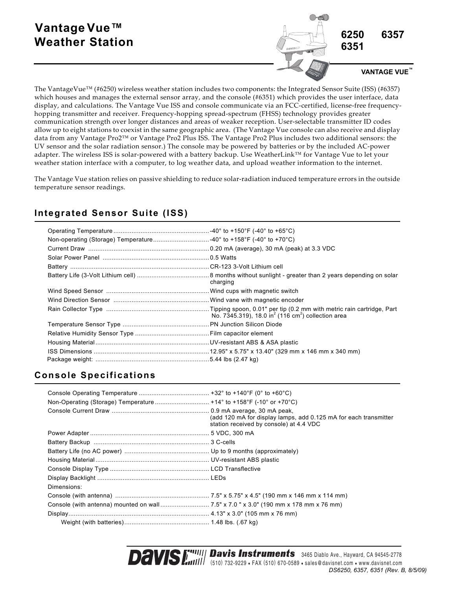# **Vantage Vue™ Weather Station**



The VantageVue™ (#6250) wireless weather station includes two components: the Integrated Sensor Suite (ISS) (#6357) which houses and manages the external sensor array, and the console (#6351) which provides the user interface, data display, and calculations. The Vantage Vue ISS and console communicate via an FCC-certified, license-free frequencyhopping transmitter and receiver. Frequency‐hopping spread‐spectrum (FHSS) technology provides greater communication strength over longer distances and areas of weaker reception. User-selectable transmitter ID codes allow up to eight stations to coexist in the same geographic area. (The Vantage Vue console can also receive and display data from any Vantage Pro2™ or Vantage Pro2 Plus ISS. The Vantage Pro2 Plus includes two additional sensors: the UV sensor and the solar radiation sensor.) The console may be powered by batteries or by the included AC‐power adapter. The wireless ISS is solar‐powered with a battery backup. Use WeatherLink™ for Vantage Vue to let your weather station interface with a computer, to log weather data, and upload weather information to the internet.

The Vantage Vue station relies on passive shielding to reduce solar-radiation induced temperature errors in the outside temperature sensor readings.

| charging |
|----------|
|          |
|          |
|          |
|          |
|          |
|          |
|          |
|          |

# **Integrated Sensor Suite (ISS)**

# **Console Specifications**

| Non-Operating (Storage) Temperature  +14° to +158°F (-10° or +70°C) |                                                                                                             |
|---------------------------------------------------------------------|-------------------------------------------------------------------------------------------------------------|
|                                                                     | (add 120 mA for display lamps, add 0.125 mA for each transmitter<br>station received by console) at 4.4 VDC |
|                                                                     |                                                                                                             |
|                                                                     |                                                                                                             |
|                                                                     |                                                                                                             |
|                                                                     |                                                                                                             |
|                                                                     |                                                                                                             |
|                                                                     |                                                                                                             |
| Dimensions:                                                         |                                                                                                             |
|                                                                     |                                                                                                             |
|                                                                     |                                                                                                             |
|                                                                     |                                                                                                             |
|                                                                     |                                                                                                             |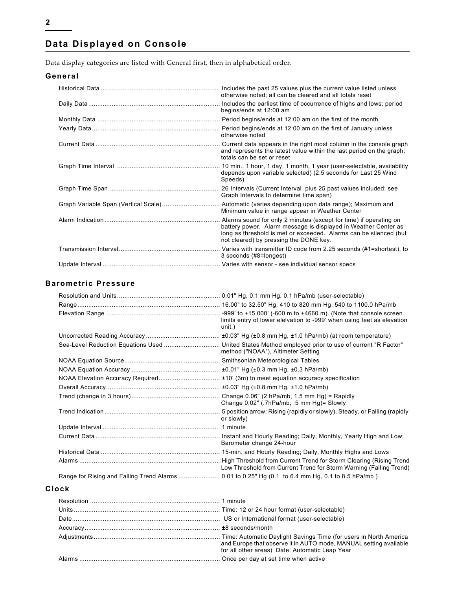# **Data Displayed on Console**

Data display categories are listed with General first, then in alphabetical order.

#### **General**

|                                      | Includes the past 25 values plus the current value listed unless<br>otherwise noted; all can be cleared and all totals reset                                                                                                                       |
|--------------------------------------|----------------------------------------------------------------------------------------------------------------------------------------------------------------------------------------------------------------------------------------------------|
|                                      | Includes the earliest time of occurrence of highs and lows; period<br>begins/ends at 12:00 am                                                                                                                                                      |
|                                      |                                                                                                                                                                                                                                                    |
|                                      | Period begins/ends at 12:00 am on the first of January unless<br>otherwise noted                                                                                                                                                                   |
|                                      | and represents the latest value within the last period on the graph;<br>totals can be set or reset                                                                                                                                                 |
|                                      | depends upon variable selected) (2.5 seconds for Last 25 Wind<br>Speeds)                                                                                                                                                                           |
|                                      | Graph Intervals to determine time span)                                                                                                                                                                                                            |
| Graph Variable Span (Vertical Scale) | . Automatic (varies depending upon data range); Maximum and<br>Minimum value in range appear in Weather Center                                                                                                                                     |
|                                      | Alarms sound for only 2 minutes (except for time) if operating on<br>battery power. Alarm message is displayed in Weather Center as<br>long as threshold is met or exceeded. Alarms can be silenced (but<br>not cleared) by pressing the DONE key. |
|                                      | 3 seconds (#8=longest)                                                                                                                                                                                                                             |
|                                      |                                                                                                                                                                                                                                                    |

#### **Barometric Pressure**

|                                                                                                   | limits entry of lower eleivation to -999' when using feet as elevation<br>unit.)                                                           |
|---------------------------------------------------------------------------------------------------|--------------------------------------------------------------------------------------------------------------------------------------------|
|                                                                                                   |                                                                                                                                            |
|                                                                                                   | Sea-Level Reduction Equations Used  United States Method employed prior to use of current "R Factor"<br>method ("NOAA"), Altimeter Setting |
|                                                                                                   |                                                                                                                                            |
|                                                                                                   |                                                                                                                                            |
|                                                                                                   |                                                                                                                                            |
|                                                                                                   |                                                                                                                                            |
|                                                                                                   | Change 0.02" (.7hPa/mb, .5 mm Hg)= Slowly                                                                                                  |
|                                                                                                   | or slowly)                                                                                                                                 |
|                                                                                                   |                                                                                                                                            |
|                                                                                                   | Barometer change 24-hour                                                                                                                   |
|                                                                                                   |                                                                                                                                            |
|                                                                                                   | Low Threshold from Current Trend for Storm Warning (Falling Trend)                                                                         |
| Range for Rising and Falling Trend Alarms  0.01 to 0.25" Hg (0.1 to 6.4 mm Hg, 0.1 to 8.5 hPa/mb) |                                                                                                                                            |
| Clock                                                                                             |                                                                                                                                            |

# Resolution ........................................................................ 1 minute Units ................................................................................. Time: 12 or 24 hour format (user-selectable) Date.................................................................................. US or International format (user-selectable) Accuracy........................................................................... ±8 seconds/month Adjustments...................................................................... Time: Automatic Daylight Savings Time (for users in North America and Europe that observe it in AUTO mode, MANUAL setting available for all other areas) Date: Automatic Leap Year Alarms .............................................................................. Once per day at set time when active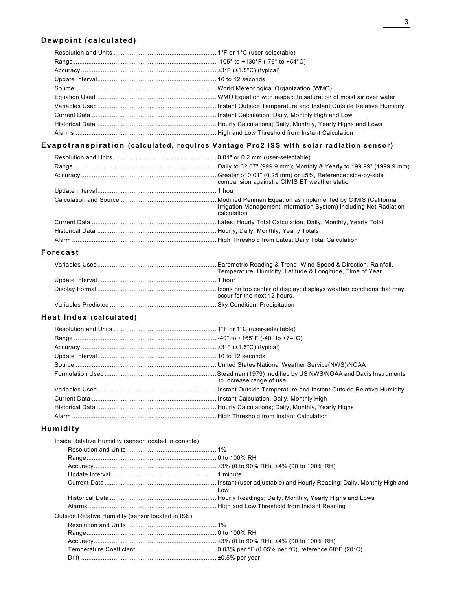#### **Dewpoint (calculated)**

#### **Evapotranspiration (calculated, requires Vantage Pro2 ISS with solar radiation sensor)**

|          | comparision against a CIMIS ET weather station                                   |
|----------|----------------------------------------------------------------------------------|
|          |                                                                                  |
|          | Irrigation Management Information System) including Net Radiation<br>calculation |
|          |                                                                                  |
|          |                                                                                  |
|          |                                                                                  |
| Forecast |                                                                                  |

#### Variables Used.................................................................. Barometric Reading & Trend, Wind Speed & Direction, Rainfall, Temperature, Humidity, Latitude & Longitude, Time of Year Update Interval.................................................................. 1 hour Display Format.................................................................. Icons on top center of display; displays weather condtions that may occur for the next 12 hours. Variables Predicted ........................................................... Sky Condition, Precipitation

#### **Heat Index (calculated)**

| to increase range of use |
|--------------------------|
|                          |
|                          |
|                          |
|                          |

#### **Humidity**

| Inside Relative Humidity (sensor located in console) |     |
|------------------------------------------------------|-----|
|                                                      |     |
|                                                      |     |
|                                                      |     |
|                                                      |     |
|                                                      | Low |
|                                                      |     |
|                                                      |     |
| Outside Relative Humidity (sensor located in ISS)    |     |
|                                                      |     |
|                                                      |     |
|                                                      |     |
|                                                      |     |
|                                                      |     |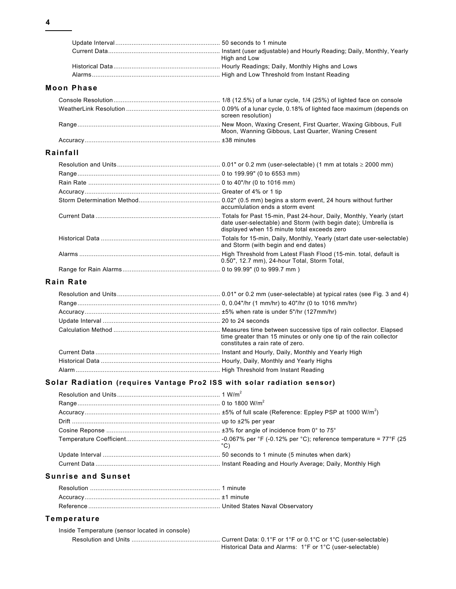| High and Low |
|--------------|
|              |
|              |

#### **Moon Phase**

| screen resolution)                                  |
|-----------------------------------------------------|
| Moon, Wanning Gibbous, Last Quarter, Waning Cresent |
|                                                     |

### **Rainfall**

| accumlulation ends a storm event                                                                                  |
|-------------------------------------------------------------------------------------------------------------------|
| date user-selectable) and Storm (with begin date); Umbrella is<br>displayed when 15 minute total exceeds zero     |
| and Storm (with begin and end dates)                                                                              |
| High Threshold from Latest Flash Flood (15-min. total, default is<br>0.50", 12.7 mm), 24-hour Total, Storm Total, |
|                                                                                                                   |

#### **Rain Rate**

| time greater than 15 minutes or only one tip of the rain collector<br>constitutes a rain rate of zero. |
|--------------------------------------------------------------------------------------------------------|
|                                                                                                        |
|                                                                                                        |
|                                                                                                        |

#### **Solar Radiation (requires Vantage Pro2 ISS with solar radiation sensor)**

| °C) |
|-----|
|     |
|     |

#### **Sunrise and Sunset**

#### **Temperature**

| Inside Temperature (sensor located in console) |                                                          |
|------------------------------------------------|----------------------------------------------------------|
|                                                |                                                          |
|                                                | Historical Data and Alarms: 1°F or 1°C (user-selectable) |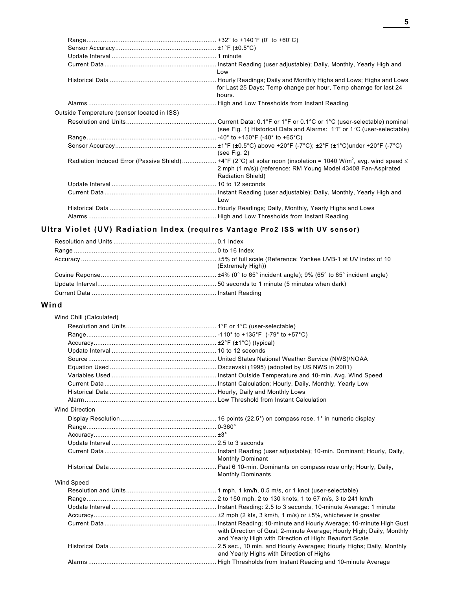|   | ۰        |
|---|----------|
|   |          |
| ٠ |          |
|   | I<br>ï   |
|   | ۰,<br>۰, |

|                                             | Low                                                                                                                            |
|---------------------------------------------|--------------------------------------------------------------------------------------------------------------------------------|
|                                             |                                                                                                                                |
|                                             | for Last 25 Days; Temp change per hour, Temp chamge for last 24                                                                |
|                                             | hours.                                                                                                                         |
|                                             |                                                                                                                                |
| Outside Temperature (sensor located in ISS) |                                                                                                                                |
|                                             |                                                                                                                                |
|                                             | (see Fig. 1) Historical Data and Alarms: 1°F or 1°C (user-selectable)                                                          |
|                                             |                                                                                                                                |
|                                             |                                                                                                                                |
|                                             | (see Fig. 2)                                                                                                                   |
|                                             | Radiation Induced Error (Passive Shield) +4°F (2°C) at solar noon (insolation = 1040 W/m <sup>2</sup> , avg. wind speed $\leq$ |
|                                             | 2 mph (1 m/s)) (reference: RM Young Model 43408 Fan-Aspirated                                                                  |
|                                             | Radiation Shield)                                                                                                              |
|                                             |                                                                                                                                |
|                                             |                                                                                                                                |
|                                             | Low                                                                                                                            |
|                                             |                                                                                                                                |
|                                             |                                                                                                                                |

# **Ultra Violet (UV) Radiation Index (requires Vantage Pro2 ISS with UV sensor)**

| (Extremely High)) |
|-------------------|
|                   |
|                   |
|                   |

## **Wind**

| Wind Chill (Calculated) |                                                                       |
|-------------------------|-----------------------------------------------------------------------|
|                         |                                                                       |
|                         |                                                                       |
|                         |                                                                       |
|                         |                                                                       |
|                         |                                                                       |
|                         |                                                                       |
|                         |                                                                       |
|                         |                                                                       |
|                         |                                                                       |
|                         |                                                                       |
| <b>Wind Direction</b>   |                                                                       |
|                         |                                                                       |
|                         |                                                                       |
|                         |                                                                       |
|                         |                                                                       |
|                         | <b>Monthly Dominant</b>                                               |
|                         | <b>Monthly Dominants</b>                                              |
| Wind Speed              |                                                                       |
|                         |                                                                       |
|                         |                                                                       |
|                         |                                                                       |
|                         |                                                                       |
|                         |                                                                       |
|                         | with Direction of Gust; 2-minute Average; Hourly High; Daily, Monthly |
|                         | and Yearly High with Direction of High; Beaufort Scale                |
|                         | and Yearly Highs with Direction of Highs                              |
|                         |                                                                       |